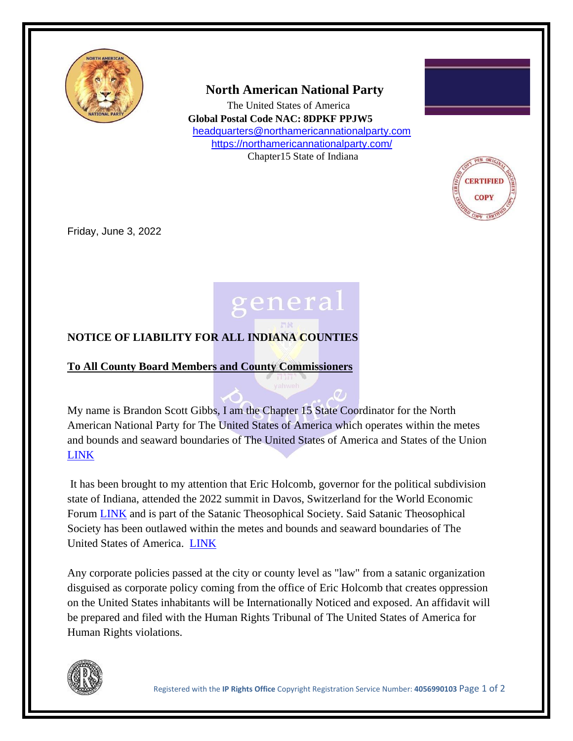

 **North American National Party**

 The United States of America **Global Postal Code NAC: 8DPKF PPJW5** [headquarters@northamericannationalparty.com](mailto:headquarters@northamericannationalparty.com) <https://northamericannationalparty.com/> Chapter15 State of Indiana



Friday, June 3, 2022



## **NOTICE OF LIABILITY FOR ALL INDIANA COUNTIES**

## **To All County Board Members and County Commissioners**

My name is Brandon Scott Gibbs, I am the Chapter 15 State Coordinator for the North American National Party for The United States of America which operates within the metes and bounds and seaward boundaries of The United States of America and States of the Union [LINK](https://americanheraldnews.com/?p=662%20)

It has been brought to my attention that Eric Holcomb, governor for the political subdivision state of Indiana, attended the 2022 summit in Davos, Switzerland for the World Economic Forum **[LINK](file:///C:/Users/Joel%20Odou/Downloads/Telegram%20Desktop/WEF_AM22_List_of_confirmed_PFs.pdf)** and is part of the Satanic Theosophical Society. Said Satanic Theosophical Society has been outlawed within the metes and bounds and seaward boundaries of The United States of America. [LINK](https://therevolutionarytimesnews.com/2022/05/27/the-satanic-theosophical-society-hereby-outlawed/)

Any corporate policies passed at the city or county level as "law" from a satanic organization disguised as corporate policy coming from the office of Eric Holcomb that creates oppression on the United States inhabitants will be Internationally Noticed and exposed. An affidavit will be prepared and filed with the Human Rights Tribunal of The United States of America for Human Rights violations.